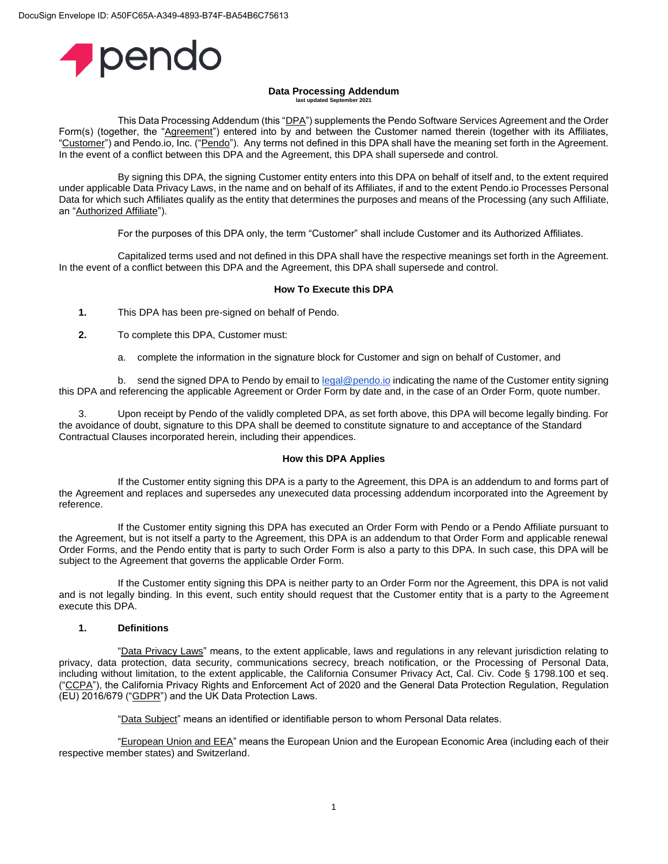

#### **Data Processing Addendum** last updated Sept

This Data Processing Addendum (this "DPA") supplements the Pendo Software Services Agreement and the Order Form(s) (together, the "Agreement") entered into by and between the Customer named therein (together with its Affiliates, "Customer") and Pendo.io, Inc. ("Pendo"). Any terms not defined in this DPA shall have the meaning set forth in the Agreement. In the event of a conflict between this DPA and the Agreement, this DPA shall supersede and control.

By signing this DPA, the signing Customer entity enters into this DPA on behalf of itself and, to the extent required under applicable Data Privacy Laws, in the name and on behalf of its Affiliates, if and to the extent Pendo.io Processes Personal Data for which such Affiliates qualify as the entity that determines the purposes and means of the Processing (any such Affiliate, an "Authorized Affiliate").

For the purposes of this DPA only, the term "Customer" shall include Customer and its Authorized Affiliates.

Capitalized terms used and not defined in this DPA shall have the respective meanings set forth in the Agreement. In the event of a conflict between this DPA and the Agreement, this DPA shall supersede and control.

## **How To Execute this DPA**

**1.** This DPA has been pre-signed on behalf of Pendo.

- **2.** To complete this DPA, Customer must:
	- a. complete the information in the signature block for Customer and sign on behalf of Customer, and

b. send the signed DPA to Pendo by email to [legal@pendo.io](mailto:legal@pendo.io) indicating the name of the Customer entity signing this DPA and referencing the applicable Agreement or Order Form by date and, in the case of an Order Form, quote number.

Upon receipt by Pendo of the validly completed DPA, as set forth above, this DPA will become legally binding. For the avoidance of doubt, signature to this DPA shall be deemed to constitute signature to and acceptance of the Standard Contractual Clauses incorporated herein, including their appendices.

#### **How this DPA Applies**

If the Customer entity signing this DPA is a party to the Agreement, this DPA is an addendum to and forms part of the Agreement and replaces and supersedes any unexecuted data processing addendum incorporated into the Agreement by reference.

If the Customer entity signing this DPA has executed an Order Form with Pendo or a Pendo Affiliate pursuant to the Agreement, but is not itself a party to the Agreement, this DPA is an addendum to that Order Form and applicable renewal Order Forms, and the Pendo entity that is party to such Order Form is also a party to this DPA. In such case, this DPA will be subject to the Agreement that governs the applicable Order Form.

If the Customer entity signing this DPA is neither party to an Order Form nor the Agreement, this DPA is not valid and is not legally binding. In this event, such entity should request that the Customer entity that is a party to the Agreement execute this DPA.

## **1. Definitions**

"Data Privacy Laws" means, to the extent applicable, laws and regulations in any relevant jurisdiction relating to privacy, data protection, data security, communications secrecy, breach notification, or the Processing of Personal Data, including without limitation, to the extent applicable, the California Consumer Privacy Act, Cal. Civ. Code § 1798.100 et seq. ("CCPA"), the California Privacy Rights and Enforcement Act of 2020 and the General Data Protection Regulation, Regulation (EU) 2016/679 ("GDPR") and the UK Data Protection Laws.

"Data Subject" means an identified or identifiable person to whom Personal Data relates.

"European Union and EEA" means the European Union and the European Economic Area (including each of their respective member states) and Switzerland.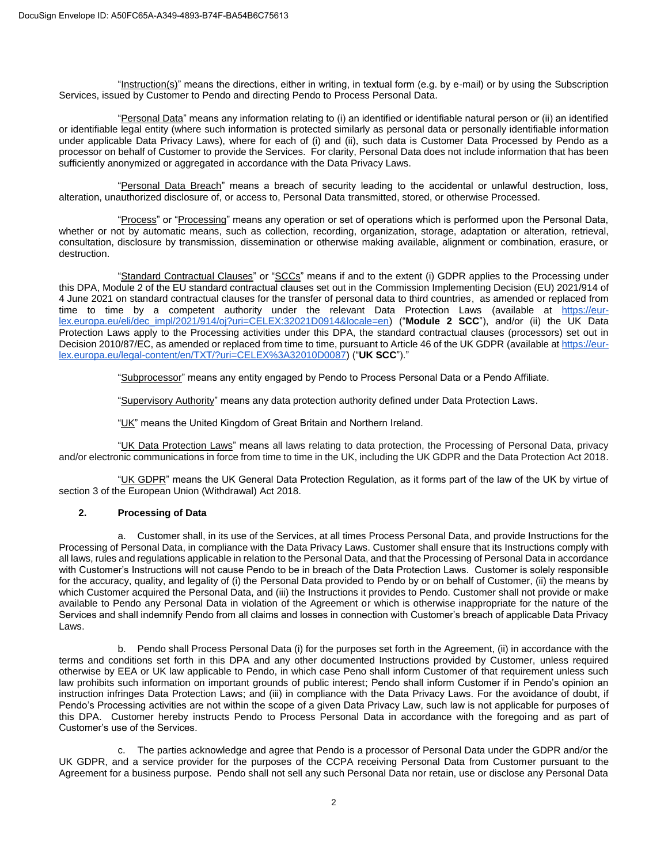"Instruction(s)" means the directions, either in writing, in textual form (e.g. by e-mail) or by using the Subscription Services, issued by Customer to Pendo and directing Pendo to Process Personal Data.

"Personal Data" means any information relating to (i) an identified or identifiable natural person or (ii) an identified or identifiable legal entity (where such information is protected similarly as personal data or personally identifiable information under applicable Data Privacy Laws), where for each of (i) and (ii), such data is Customer Data Processed by Pendo as a processor on behalf of Customer to provide the Services. For clarity, Personal Data does not include information that has been sufficiently anonymized or aggregated in accordance with the Data Privacy Laws.

"Personal Data Breach" means a breach of security leading to the accidental or unlawful destruction, loss, alteration, unauthorized disclosure of, or access to, Personal Data transmitted, stored, or otherwise Processed.

"Process" or "Processing" means any operation or set of operations which is performed upon the Personal Data, whether or not by automatic means, such as collection, recording, organization, storage, adaptation or alteration, retrieval, consultation, disclosure by transmission, dissemination or otherwise making available, alignment or combination, erasure, or destruction.

"Standard Contractual Clauses" or "SCCs" means if and to the extent (i) GDPR applies to the Processing under this DPA, Module 2 of the EU standard contractual clauses set out in the [Commission Implementing Decision \(EU\) 2021/914 of](https://eur-lex.europa.eu/legal-content/EN/AUTO/?uri=uriserv:OJ.L_.2021.199.01.0031.01.ENG&toc=OJ:L:2021:199:TOC)  4 [June 2021 on standard contractual clauses for the transfer of personal data to third countries,](https://eur-lex.europa.eu/legal-content/EN/AUTO/?uri=uriserv:OJ.L_.2021.199.01.0031.01.ENG&toc=OJ:L:2021:199:TOC) as amended or replaced from time to time by a competent authority under the relevant Data Protection Laws (available at [https://eur](https://eur-lex.europa.eu/eli/dec_impl/2021/914/oj?uri=CELEX:32021D0914&locale=en)[lex.europa.eu/eli/dec\\_impl/2021/914/oj?uri=CELEX:32021D0914&locale=en\)](https://eur-lex.europa.eu/eli/dec_impl/2021/914/oj?uri=CELEX:32021D0914&locale=en) ("Module 2 SCC"), and/or (ii) the UK Data Protection Laws apply to the Processing activities under this DPA, the standard contractual clauses (processors) set out in Decision 2010/87/EC, as amended or replaced from time to time, pursuant to Article 46 of the UK GDPR (available at [https://eur](https://eur-lex.europa.eu/legal-content/en/TXT/?uri=CELEX%3A32010D0087)[lex.europa.eu/legal-content/en/TXT/?uri=CELEX%3A32010D0087\)](https://eur-lex.europa.eu/legal-content/en/TXT/?uri=CELEX%3A32010D0087) ("**UK SCC**")."

"Subprocessor" means any entity engaged by Pendo to Process Personal Data or a Pendo Affiliate.

"Supervisory Authority" means any data protection authority defined under Data Protection Laws.

"UK" means the United Kingdom of Great Britain and Northern Ireland.

"UK Data Protection Laws" means all laws relating to data protection, the Processing of Personal Data, privacy and/or electronic communications in force from time to time in the UK, including the UK GDPR and the Data Protection Act 2018.

"UK GDPR" means the UK General Data Protection Regulation, as it forms part of the law of the UK by virtue of section 3 of the European Union (Withdrawal) Act 2018.

## **2. Processing of Data**

a. Customer shall, in its use of the Services, at all times Process Personal Data, and provide Instructions for the Processing of Personal Data, in compliance with the Data Privacy Laws. Customer shall ensure that its Instructions comply with all laws, rules and regulations applicable in relation to the Personal Data, and that the Processing of Personal Data in accordance with Customer's Instructions will not cause Pendo to be in breach of the Data Protection Laws. Customer is solely responsible for the accuracy, quality, and legality of (i) the Personal Data provided to Pendo by or on behalf of Customer, (ii) the means by which Customer acquired the Personal Data, and (iii) the Instructions it provides to Pendo. Customer shall not provide or make available to Pendo any Personal Data in violation of the Agreement or which is otherwise inappropriate for the nature of the Services and shall indemnify Pendo from all claims and losses in connection with Customer's breach of applicable Data Privacy Laws.

b. Pendo shall Process Personal Data (i) for the purposes set forth in the Agreement, (ii) in accordance with the terms and conditions set forth in this DPA and any other documented Instructions provided by Customer, unless required otherwise by EEA or UK law applicable to Pendo, in which case Peno shall inform Customer of that requirement unless such law prohibits such information on important grounds of public interest; Pendo shall inform Customer if in Pendo's opinion an instruction infringes Data Protection Laws; and (iii) in compliance with the Data Privacy Laws. For the avoidance of doubt, if Pendo's Processing activities are not within the scope of a given Data Privacy Law, such law is not applicable for purposes of this DPA. Customer hereby instructs Pendo to Process Personal Data in accordance with the foregoing and as part of Customer's use of the Services.

c. The parties acknowledge and agree that Pendo is a processor of Personal Data under the GDPR and/or the UK GDPR, and a service provider for the purposes of the CCPA receiving Personal Data from Customer pursuant to the Agreement for a business purpose. Pendo shall not sell any such Personal Data nor retain, use or disclose any Personal Data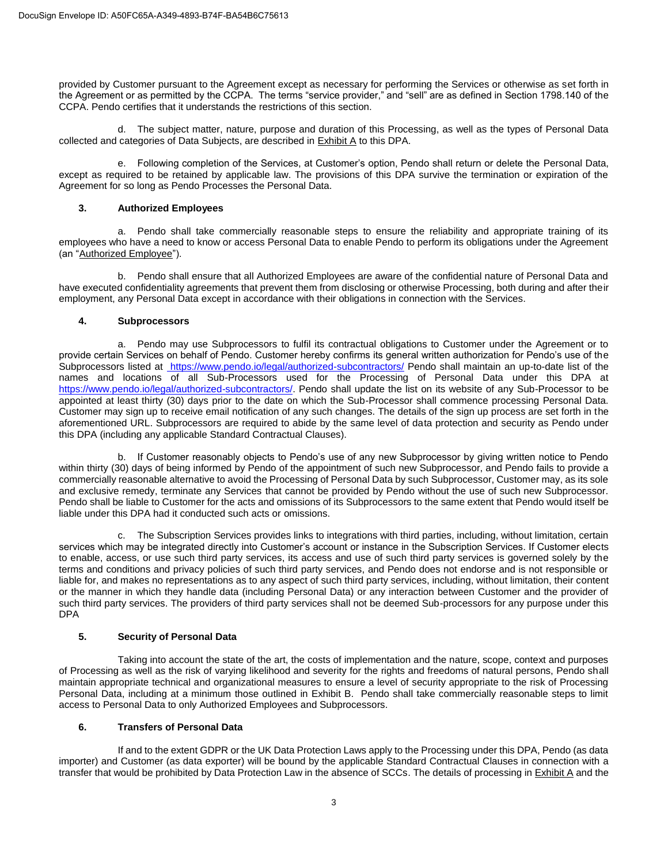provided by Customer pursuant to the Agreement except as necessary for performing the Services or otherwise as set forth in the Agreement or as permitted by the CCPA. The terms "service provider," and "sell" are as defined in Section 1798.140 of the CCPA. Pendo certifies that it understands the restrictions of this section.

d. The subject matter, nature, purpose and duration of this Processing, as well as the types of Personal Data collected and categories of Data Subjects, are described in Exhibit A to this DPA.

e. Following completion of the Services, at Customer's option, Pendo shall return or delete the Personal Data, except as required to be retained by applicable law. The provisions of this DPA survive the termination or expiration of the Agreement for so long as Pendo Processes the Personal Data.

# **3. Authorized Employees**

a. Pendo shall take commercially reasonable steps to ensure the reliability and appropriate training of its employees who have a need to know or access Personal Data to enable Pendo to perform its obligations under the Agreement (an "Authorized Employee").

b. Pendo shall ensure that all Authorized Employees are aware of the confidential nature of Personal Data and have executed confidentiality agreements that prevent them from disclosing or otherwise Processing, both during and after their employment, any Personal Data except in accordance with their obligations in connection with the Services.

## **4. Subprocessors**

a. Pendo may use Subprocessors to fulfil its contractual obligations to Customer under the Agreement or to provide certain Services on behalf of Pendo. Customer hereby confirms its general written authorization for Pendo's use of the Subprocessors listed at https://www.pendo.io/legal/authorized-subcontractors/ Pendo shall maintain an up-to-date list of the names and locations of all Sub-Processors used for the Processing of Personal Data under this DPA at https://www.pendo.jo/legal/authorized-subcontractors/. Pendo shall update the list on its website of any Sub-Processor to be appointed at least thirty (30) days prior to the date on which the Sub-Processor shall commence processing Personal Data. Customer may sign up to receive email notification of any such changes. The details of the sign up process are set forth in the aforementioned URL. Subprocessors are required to abide by the same level of data protection and security as Pendo under this DPA (including any applicable Standard Contractual Clauses).

b. If Customer reasonably objects to Pendo's use of any new Subprocessor by giving written notice to Pendo within thirty (30) days of being informed by Pendo of the appointment of such new Subprocessor, and Pendo fails to provide a commercially reasonable alternative to avoid the Processing of Personal Data by such Subprocessor, Customer may, as its sole and exclusive remedy, terminate any Services that cannot be provided by Pendo without the use of such new Subprocessor. Pendo shall be liable to Customer for the acts and omissions of its Subprocessors to the same extent that Pendo would itself be liable under this DPA had it conducted such acts or omissions.

c. The Subscription Services provides links to integrations with third parties, including, without limitation, certain services which may be integrated directly into Customer's account or instance in the Subscription Services. If Customer elects to enable, access, or use such third party services, its access and use of such third party services is governed solely by the terms and conditions and privacy policies of such third party services, and Pendo does not endorse and is not responsible or liable for, and makes no representations as to any aspect of such third party services, including, without limitation, their content or the manner in which they handle data (including Personal Data) or any interaction between Customer and the provider of such third party services. The providers of third party services shall not be deemed Sub-processors for any purpose under this DPA

# **5. Security of Personal Data**

Taking into account the state of the art, the costs of implementation and the nature, scope, context and purposes of Processing as well as the risk of varying likelihood and severity for the rights and freedoms of natural persons, Pendo shall maintain appropriate technical and organizational measures to ensure a level of security appropriate to the risk of Processing Personal Data, including at a minimum those outlined in Exhibit B. Pendo shall take commercially reasonable steps to limit access to Personal Data to only Authorized Employees and Subprocessors.

## **6. Transfers of Personal Data**

If and to the extent GDPR or the UK Data Protection Laws apply to the Processing under this DPA, Pendo (as data importer) and Customer (as data exporter) will be bound by the applicable Standard Contractual Clauses in connection with a transfer that would be prohibited by Data Protection Law in the absence of SCCs. The details of processing in Exhibit A and the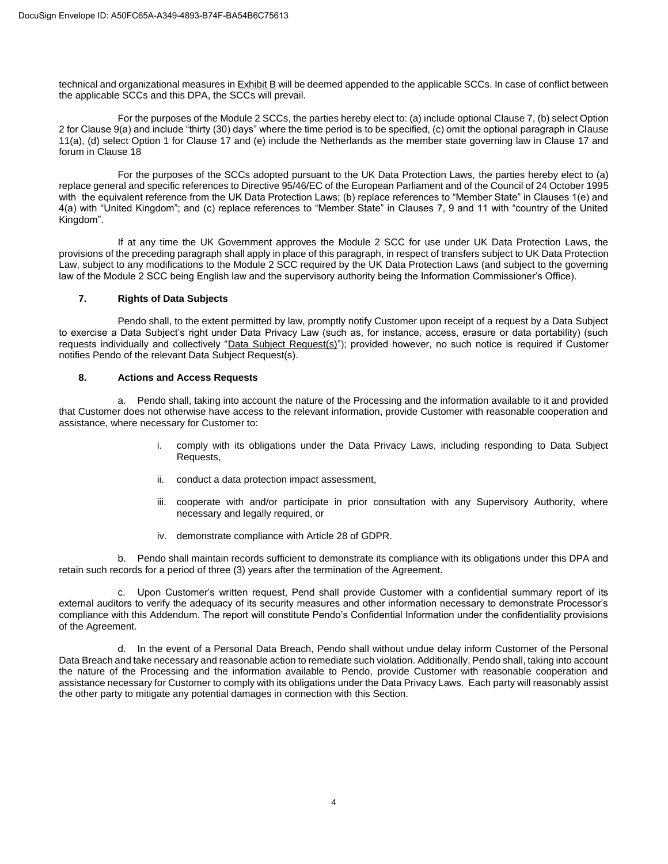technical and organizational measures in Exhibit B will be deemed appended to the applicable SCCs. In case of conflict between the applicable SCCs and this DPA, the SCCs will prevail.

For the purposes of the Module 2 SCCs, the parties hereby elect to: (a) include optional Clause 7, (b) select Option 2 for Clause 9(a) and include "thirty (30) days" where the time period is to be specified, (c) omit the optional paragraph in Clause 11(a), (d) select Option 1 for Clause 17 and (e) include the Netherlands as the member state governing law in Clause 17 and forum in Clause 18

For the purposes of the SCCs adopted pursuant to the UK Data Protection Laws, the parties hereby elect to (a) replace general and specific references to Directive 95/46/EC of the European Parliament and of the Council of 24 October 1995 with the equivalent reference from the UK Data Protection Laws; (b) replace references to "Member State" in Clauses 1(e) and 4(a) with "United Kingdom"; and (c) replace references to "Member State" in Clauses 7, 9 and 11 with "country of the United Kingdom".

If at any time the UK Government approves the Module 2 SCC for use under UK Data Protection Laws, the provisions of the preceding paragraph shall apply in place of this paragraph, in respect of transfers subject to UK Data Protection Law, subject to any modifications to the Module 2 SCC required by the UK Data Protection Laws (and subject to the governing law of the Module 2 SCC being English law and the supervisory authority being the Information Commissioner's Office).

## **7. Rights of Data Subjects**

Pendo shall, to the extent permitted by law, promptly notify Customer upon receipt of a request by a Data Subject to exercise a Data Subject's right under Data Privacy Law (such as, for instance, access, erasure or data portability) (such requests individually and collectively "Data Subject Request(s)"); provided however, no such notice is required if Customer notifies Pendo of the relevant Data Subject Request(s).

## **8. Actions and Access Requests**

a. Pendo shall, taking into account the nature of the Processing and the information available to it and provided that Customer does not otherwise have access to the relevant information, provide Customer with reasonable cooperation and assistance, where necessary for Customer to:

- i. comply with its obligations under the Data Privacy Laws, including responding to Data Subject Requests,
- ii. conduct a data protection impact assessment,
- iii. cooperate with and/or participate in prior consultation with any Supervisory Authority, where necessary and legally required, or
- iv. demonstrate compliance with Article 28 of GDPR.

b. Pendo shall maintain records sufficient to demonstrate its compliance with its obligations under this DPA and retain such records for a period of three (3) years after the termination of the Agreement.

c. Upon Customer's written request, Pend shall provide Customer with a confidential summary report of its external auditors to verify the adequacy of its security measures and other information necessary to demonstrate Processor's compliance with this Addendum. The report will constitute Pendo's Confidential Information under the confidentiality provisions of the Agreement.

d. In the event of a Personal Data Breach, Pendo shall without undue delay inform Customer of the Personal Data Breach and take necessary and reasonable action to remediate such violation. Additionally, Pendo shall, taking into account the nature of the Processing and the information available to Pendo, provide Customer with reasonable cooperation and assistance necessary for Customer to comply with its obligations under the Data Privacy Laws. Each party will reasonably assist the other party to mitigate any potential damages in connection with this Section.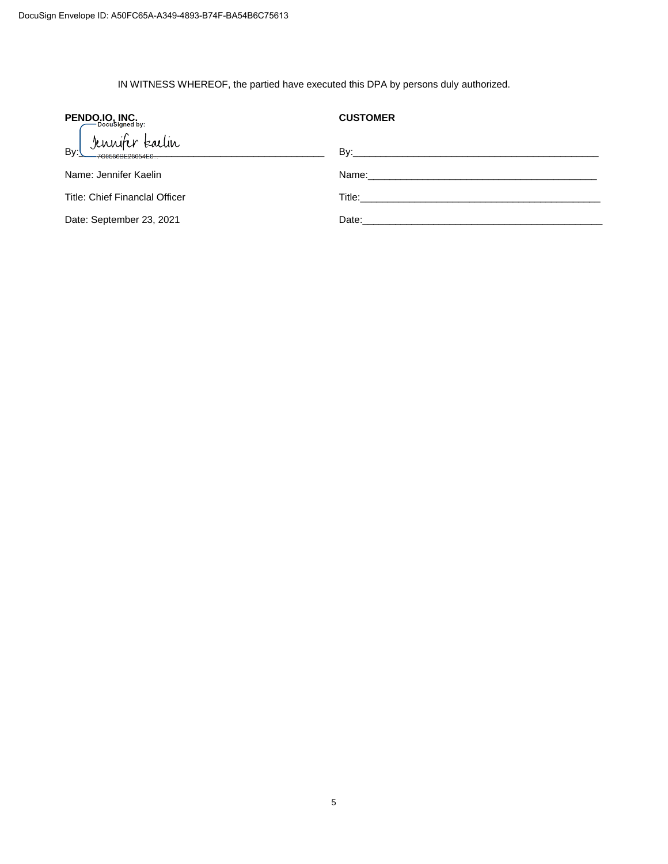IN WITNESS WHEREOF, the partied have executed this DPA by persons duly authorized.

| <b>PENDO.IO. INC.</b>                    | <b>CUSTOMER</b>                                                                                                                                                                                                               |
|------------------------------------------|-------------------------------------------------------------------------------------------------------------------------------------------------------------------------------------------------------------------------------|
| Jennifer talin<br>Bv:<br>ZCO59GDE29054EO | $\mathsf{By:}$                                                                                                                                                                                                                |
| Name: Jennifer Kaelin                    | Name: will be a series of the contract of the contract of the contract of the contract of the contract of the contract of the contract of the contract of the contract of the contract of the contract of the contract of the |
| Title: Chief Financlal Officer           |                                                                                                                                                                                                                               |
| Date: September 23, 2021                 | Date:                                                                                                                                                                                                                         |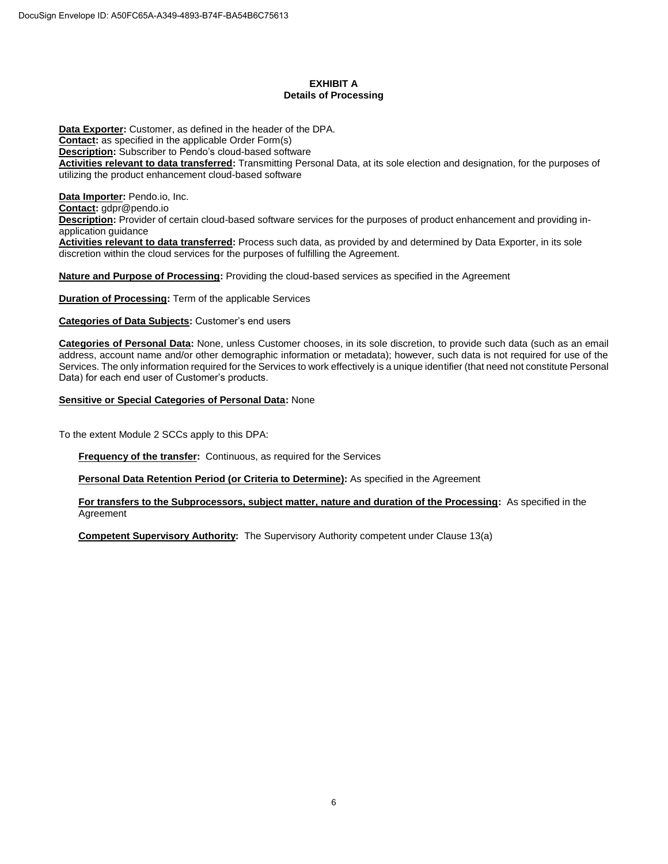# **EXHIBIT A Details of Processing**

**Data Exporter:** Customer, as defined in the header of the DPA. **Contact:** as specified in the applicable Order Form(s) **Description:** Subscriber to Pendo's cloud-based software **Activities relevant to data transferred:** Transmitting Personal Data, at its sole election and designation, for the purposes of utilizing the product enhancement cloud-based software

**Data Importer:** Pendo.io, Inc. **Contact:** gdpr@pendo.io **Description:** Provider of certain cloud-based software services for the purposes of product enhancement and providing inapplication guidance

**Activities relevant to data transferred:** Process such data, as provided by and determined by Data Exporter, in its sole discretion within the cloud services for the purposes of fulfilling the Agreement.

**Nature and Purpose of Processing:** Providing the cloud-based services as specified in the Agreement

**Duration of Processing:** Term of the applicable Services

**Categories of Data Subjects:** Customer's end users

**Categories of Personal Data:** None, unless Customer chooses, in its sole discretion, to provide such data (such as an email address, account name and/or other demographic information or metadata); however, such data is not required for use of the Services. The only information required for the Services to work effectively is a unique identifier (that need not constitute Personal Data) for each end user of Customer's products.

## **Sensitive or Special Categories of Personal Data:** None

To the extent Module 2 SCCs apply to this DPA:

**Frequency of the transfer:** Continuous, as required for the Services

**Personal Data Retention Period (or Criteria to Determine):** As specified in the Agreement

**For transfers to the Subprocessors, subject matter, nature and duration of the Processing:** As specified in the Agreement

**Competent Supervisory Authority:** The Supervisory Authority competent under Clause 13(a)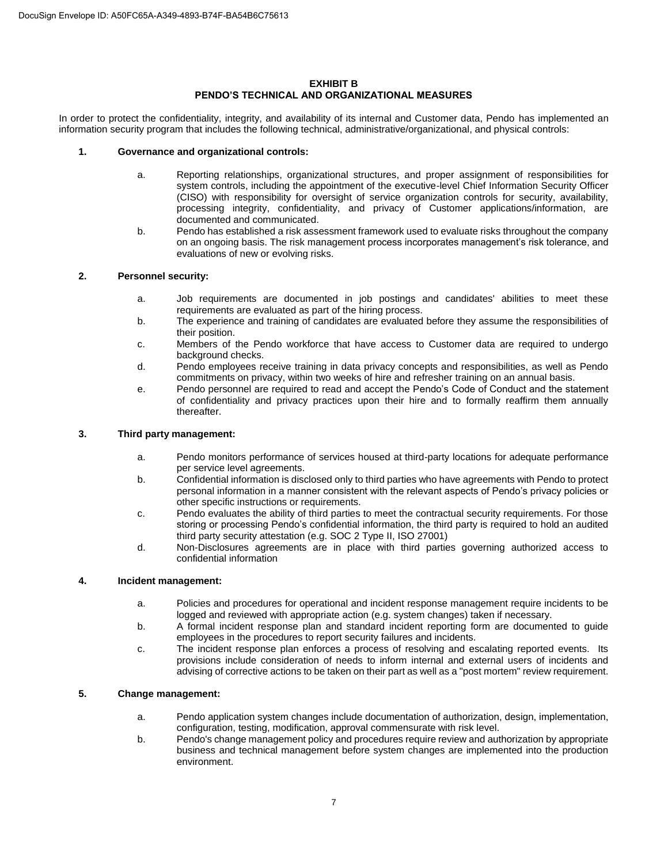## **EXHIBIT B PENDO'S TECHNICAL AND ORGANIZATIONAL MEASURES**

In order to protect the confidentiality, integrity, and availability of its internal and Customer data, Pendo has implemented an information security program that includes the following technical, administrative/organizational, and physical controls:

## **1. Governance and organizational controls:**

- a. Reporting relationships, organizational structures, and proper assignment of responsibilities for system controls, including the appointment of the executive-level Chief Information Security Officer (CISO) with responsibility for oversight of service organization controls for security, availability, processing integrity, confidentiality, and privacy of Customer applications/information, are documented and communicated.
- b. Pendo has established a risk assessment framework used to evaluate risks throughout the company on an ongoing basis. The risk management process incorporates management's risk tolerance, and evaluations of new or evolving risks.

## **2. Personnel security:**

- a. Job requirements are documented in job postings and candidates' abilities to meet these requirements are evaluated as part of the hiring process.
- b. The experience and training of candidates are evaluated before they assume the responsibilities of their position.
- c. Members of the Pendo workforce that have access to Customer data are required to undergo background checks.
- d. Pendo employees receive training in data privacy concepts and responsibilities, as well as Pendo commitments on privacy, within two weeks of hire and refresher training on an annual basis.
- e. Pendo personnel are required to read and accept the Pendo's Code of Conduct and the statement of confidentiality and privacy practices upon their hire and to formally reaffirm them annually thereafter.

## **3. Third party management:**

- a. Pendo monitors performance of services housed at third-party locations for adequate performance per service level agreements.
- b. Confidential information is disclosed only to third parties who have agreements with Pendo to protect personal information in a manner consistent with the relevant aspects of Pendo's privacy policies or other specific instructions or requirements.
- c. Pendo evaluates the ability of third parties to meet the contractual security requirements. For those storing or processing Pendo's confidential information, the third party is required to hold an audited third party security attestation (e.g. SOC 2 Type II, ISO 27001)
- d. Non-Disclosures agreements are in place with third parties governing authorized access to confidential information

## **4. Incident management:**

- a. Policies and procedures for operational and incident response management require incidents to be logged and reviewed with appropriate action (e.g. system changes) taken if necessary.
- b. A formal incident response plan and standard incident reporting form are documented to guide employees in the procedures to report security failures and incidents.
- c. The incident response plan enforces a process of resolving and escalating reported events. Its provisions include consideration of needs to inform internal and external users of incidents and advising of corrective actions to be taken on their part as well as a "post mortem" review requirement.

## **5. Change management:**

- a. Pendo application system changes include documentation of authorization, design, implementation, configuration, testing, modification, approval commensurate with risk level.
- b. Pendo's change management policy and procedures require review and authorization by appropriate business and technical management before system changes are implemented into the production environment.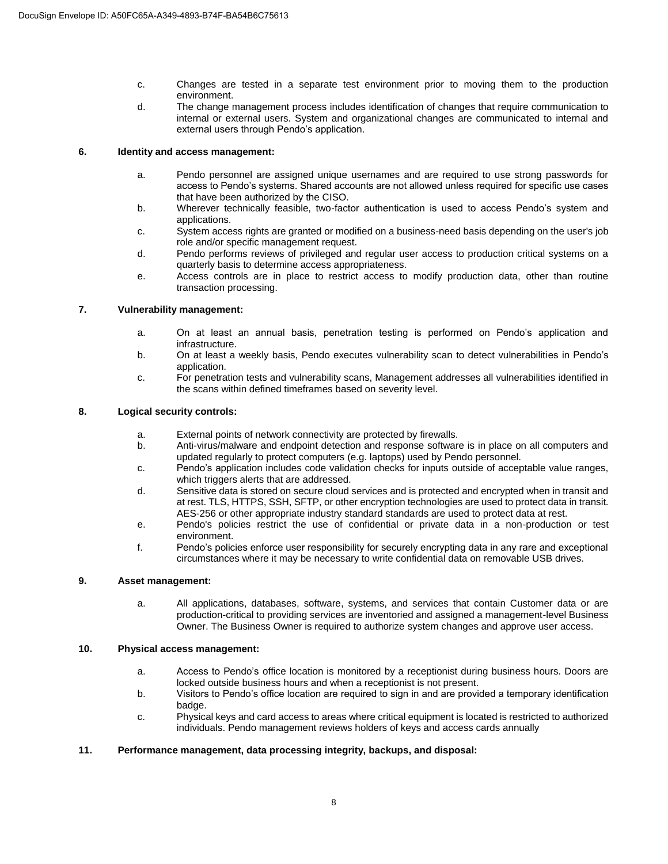- c. Changes are tested in a separate test environment prior to moving them to the production environment.
- d. The change management process includes identification of changes that require communication to internal or external users. System and organizational changes are communicated to internal and external users through Pendo's application.

## **6. Identity and access management:**

- a. Pendo personnel are assigned unique usernames and are required to use strong passwords for access to Pendo's systems. Shared accounts are not allowed unless required for specific use cases that have been authorized by the CISO.
- b. Wherever technically feasible, two-factor authentication is used to access Pendo's system and applications.
- c. System access rights are granted or modified on a business-need basis depending on the user's job role and/or specific management request.
- d. Pendo performs reviews of privileged and regular user access to production critical systems on a quarterly basis to determine access appropriateness.
- e. Access controls are in place to restrict access to modify production data, other than routine transaction processing.

# **7. Vulnerability management:**

- a. On at least an annual basis, penetration testing is performed on Pendo's application and infrastructure.
- b. On at least a weekly basis, Pendo executes vulnerability scan to detect vulnerabilities in Pendo's application.
- c. For penetration tests and vulnerability scans, Management addresses all vulnerabilities identified in the scans within defined timeframes based on severity level.

## **8. Logical security controls:**

- a. External points of network connectivity are protected by firewalls.
- b. Anti-virus/malware and endpoint detection and response software is in place on all computers and updated regularly to protect computers (e.g. laptops) used by Pendo personnel.
- c. Pendo's application includes code validation checks for inputs outside of acceptable value ranges, which triggers alerts that are addressed.
- d. Sensitive data is stored on secure cloud services and is protected and encrypted when in transit and at rest. TLS, HTTPS, SSH, SFTP, or other encryption technologies are used to protect data in transit. AES-256 or other appropriate industry standard standards are used to protect data at rest.
- e. Pendo's policies restrict the use of confidential or private data in a non-production or test environment.
- f. Pendo's policies enforce user responsibility for securely encrypting data in any rare and exceptional circumstances where it may be necessary to write confidential data on removable USB drives.

## **9. Asset management:**

a.All applications, databases, software, systems, and services that contain Customer data or are production-critical to providing services are inventoried and assigned a management-level Business Owner. The Business Owner is required to authorize system changes and approve user access.

## **10. Physical access management:**

- a. Access to Pendo's office location is monitored by a receptionist during business hours. Doors are locked outside business hours and when a receptionist is not present.
- b. Visitors to Pendo's office location are required to sign in and are provided a temporary identification badge.
- c. Physical keys and card access to areas where critical equipment is located is restricted to authorized individuals. Pendo management reviews holders of keys and access cards annually

# **11. Performance management, data processing integrity, backups, and disposal:**